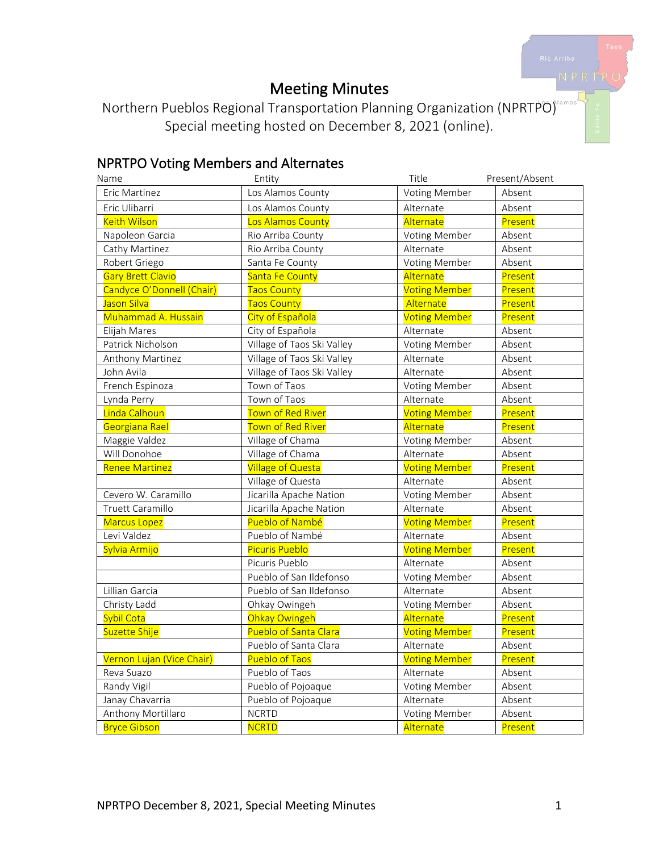# Meeting Minutes

Northern Pueblos Regional Transportation Planning Organization (NPRTPO) Special meeting hosted on December 8, 2021 (online).

# NPRTPO Voting Members and Alternates

| Name                      | Entity                     | Title                | Present/Absent |
|---------------------------|----------------------------|----------------------|----------------|
| Eric Martinez             | Los Alamos County          | Voting Member        | Absent         |
| Eric Ulibarri             | Los Alamos County          | Alternate            | Absent         |
| <b>Keith Wilson</b>       | Los Alamos County          | Alternate            | Present        |
| Napoleon Garcia           | Rio Arriba County          | Voting Member        | Absent         |
| Cathy Martinez            | Rio Arriba County          | Alternate            | Absent         |
| Robert Griego             | Santa Fe County            | Voting Member        | Absent         |
| <b>Gary Brett Clavio</b>  | Santa Fe County            | Alternate            | Present        |
| Candyce O'Donnell (Chair) | <b>Taos County</b>         | <b>Voting Member</b> | Present        |
| Jason Silva               | <b>Taos County</b>         | Alternate            | Present        |
| Muhammad A. Hussain       | City of Española           | <b>Voting Member</b> | Present        |
| Elijah Mares              | City of Española           | Alternate            | Absent         |
| Patrick Nicholson         | Village of Taos Ski Valley | Voting Member        | Absent         |
| Anthony Martinez          | Village of Taos Ski Valley | Alternate            | Absent         |
| John Avila                | Village of Taos Ski Valley | Alternate            | Absent         |
| French Espinoza           | Town of Taos               | Voting Member        | Absent         |
| Lynda Perry               | Town of Taos               | Alternate            | Absent         |
| Linda Calhoun             | Town of Red River          | <b>Voting Member</b> | Present        |
| Georgiana Rael            | <b>Town of Red River</b>   | Alternate            | Present        |
| Maggie Valdez             | Village of Chama           | Voting Member        | Absent         |
| Will Donohoe              | Village of Chama           | Alternate            | Absent         |
| <b>Renee Martinez</b>     | <b>Village of Questa</b>   | <b>Voting Member</b> | Present        |
|                           | Village of Questa          | Alternate            | Absent         |
| Cevero W. Caramillo       | Jicarilla Apache Nation    | Voting Member        | Absent         |
| Truett Caramillo          | Jicarilla Apache Nation    | Alternate            | Absent         |
| <b>Marcus Lopez</b>       | Pueblo of Nambé            | <b>Voting Member</b> | Present        |
| Levi Valdez               | Pueblo of Nambé            | Alternate            | Absent         |
| Sylvia Armijo             | <b>Picuris Pueblo</b>      | <b>Voting Member</b> | Present        |
|                           | Picuris Pueblo             | Alternate            | Absent         |
|                           | Pueblo of San Ildefonso    | Voting Member        | Absent         |
| Lillian Garcia            | Pueblo of San Ildefonso    | Alternate            | Absent         |
| Christy Ladd              | Ohkay Owingeh              | Voting Member        | Absent         |
| Sybil Cota                | Ohkay Owingeh              | Alternate            | Present        |
| Suzette Shije             | Pueblo of Santa Clara      | <b>Voting Member</b> | Present        |
|                           | Pueblo of Santa Clara      | Alternate            | Absent         |
| Vernon Lujan (Vice Chair) | <b>Pueblo of Taos</b>      | <b>Voting Member</b> | Present        |
| Reva Suazo                | Pueblo of Taos             | Alternate            | Absent         |
| Randy Vigil               | Pueblo of Pojoaque         | Voting Member        | Absent         |
| Janay Chavarria           | Pueblo of Pojoaque         | Alternate            | Absent         |
| Anthony Mortillaro        | <b>NCRTD</b>               | Voting Member        | Absent         |
| <b>Bryce Gibson</b>       | <b>NCRTD</b>               | Alternate            | Present        |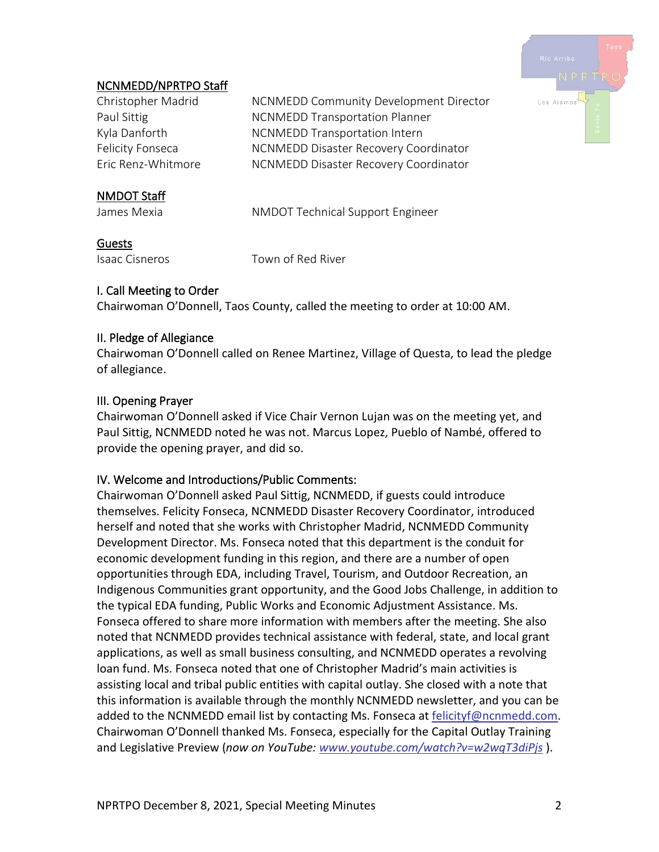

# NCNMEDD/NPRTPO Staff

| Christopher Madrid | NCNMEDD Community Development Director  |
|--------------------|-----------------------------------------|
| Paul Sittig        | <b>NCNMEDD Transportation Planner</b>   |
| Kyla Danforth      | <b>NCNMEDD Transportation Intern</b>    |
| Felicity Fonseca   | NCNMEDD Disaster Recovery Coordinator   |
| Eric Renz-Whitmore | NCNMEDD Disaster Recovery Coordinator   |
| <b>NMDOT Staff</b> |                                         |
| James Mexia        | <b>NMDOT Technical Support Engineer</b> |

# Guests

Isaac Cisneros Town of Red River

# I. Call Meeting to Order

Chairwoman O'Donnell, Taos County, called the meeting to order at 10:00 AM.

#### II. Pledge of Allegiance

Chairwoman O'Donnell called on Renee Martinez, Village of Questa, to lead the pledge of allegiance.

#### III. Opening Prayer

Chairwoman O'Donnell asked if Vice Chair Vernon Lujan was on the meeting yet, and Paul Sittig, NCNMEDD noted he was not. Marcus Lopez, Pueblo of Nambé, offered to provide the opening prayer, and did so.

#### IV. Welcome and Introductions/Public Comments:

Chairwoman O'Donnell asked Paul Sittig, NCNMEDD, if guests could introduce themselves. Felicity Fonseca, NCNMEDD Disaster Recovery Coordinator, introduced herself and noted that she works with Christopher Madrid, NCNMEDD Community Development Director. Ms. Fonseca noted that this department is the conduit for economic development funding in this region, and there are a number of open opportunities through EDA, including Travel, Tourism, and Outdoor Recreation, an Indigenous Communities grant opportunity, and the Good Jobs Challenge, in addition to the typical EDA funding, Public Works and Economic Adjustment Assistance. Ms. Fonseca offered to share more information with members after the meeting. She also noted that NCNMEDD provides technical assistance with federal, state, and local grant applications, as well as small business consulting, and NCNMEDD operates a revolving loan fund. Ms. Fonseca noted that one of Christopher Madrid's main activities is assisting local and tribal public entities with capital outlay. She closed with a note that this information is available through the monthly NCNMEDD newsletter, and you can be added to the NCNMEDD email list by contacting Ms. Fonseca at [felicityf@ncnmedd.com.](mailto:felicityf@ncnmedd.com) Chairwoman O'Donnell thanked Ms. Fonseca, especially for the Capital Outlay Training and Legislative Preview (*now on YouTube: [www.youtube.com/watch?v=w2wqT3diPjs](https://www.youtube.com/watch?v=w2wqT3diPjs)* ).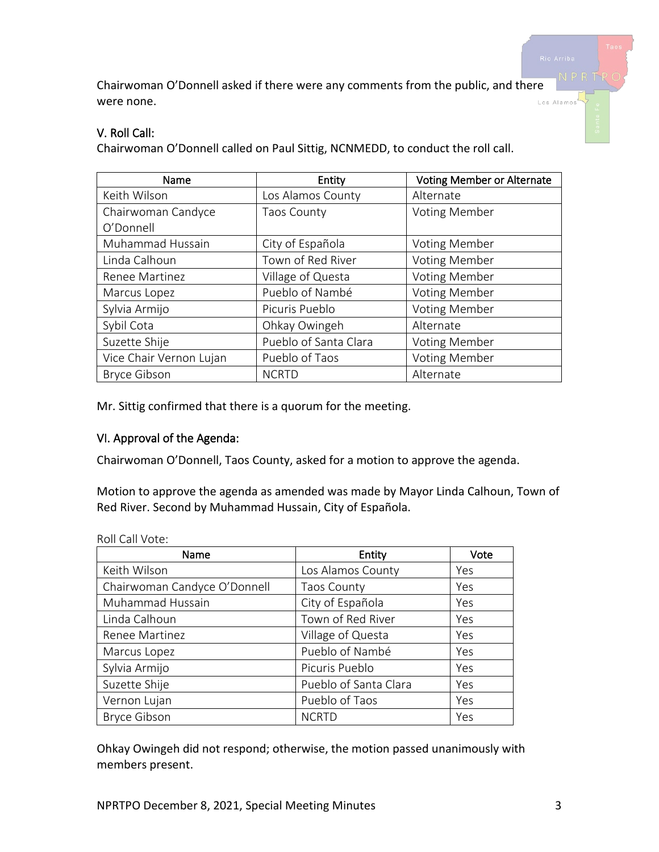Chairwoman O'Donnell asked if there were any comments from the public, and there were none. Los Alamos

# V. Roll Call:

Chairwoman O'Donnell called on Paul Sittig, NCNMEDD, to conduct the roll call.

| Name                    | Entity                | <b>Voting Member or Alternate</b> |
|-------------------------|-----------------------|-----------------------------------|
| Keith Wilson            | Los Alamos County     | Alternate                         |
| Chairwoman Candyce      | <b>Taos County</b>    | <b>Voting Member</b>              |
| O'Donnell               |                       |                                   |
| Muhammad Hussain        | City of Española      | Voting Member                     |
| Linda Calhoun           | Town of Red River     | <b>Voting Member</b>              |
| Renee Martinez          | Village of Questa     | <b>Voting Member</b>              |
| Marcus Lopez            | Pueblo of Nambé       | <b>Voting Member</b>              |
| Sylvia Armijo           | Picuris Pueblo        | <b>Voting Member</b>              |
| Sybil Cota              | Ohkay Owingeh         | Alternate                         |
| Suzette Shije           | Pueblo of Santa Clara | Voting Member                     |
| Vice Chair Vernon Lujan | Pueblo of Taos        | Voting Member                     |
| <b>Bryce Gibson</b>     | <b>NCRTD</b>          | Alternate                         |

Mr. Sittig confirmed that there is a quorum for the meeting.

#### VI. Approval of the Agenda:

Chairwoman O'Donnell, Taos County, asked for a motion to approve the agenda.

Motion to approve the agenda as amended was made by Mayor Linda Calhoun, Town of Red River. Second by Muhammad Hussain, City of Española.

| Name                         | Entity                | Vote |
|------------------------------|-----------------------|------|
| Keith Wilson                 | Los Alamos County     | Yes  |
| Chairwoman Candyce O'Donnell | Taos County           | Yes  |
| Muhammad Hussain             | City of Española      | Yes  |
| Linda Calhoun                | Town of Red River     | Yes  |
| Renee Martinez               | Village of Questa     | Yes  |
| Marcus Lopez                 | Pueblo of Nambé       | Yes  |
| Sylvia Armijo                | Picuris Pueblo        | Yes  |
| Suzette Shije                | Pueblo of Santa Clara | Yes  |
| Vernon Lujan                 | Pueblo of Taos        | Yes  |
| <b>Bryce Gibson</b>          | <b>NCRTD</b>          | Yes  |

Roll Call Vote:

Ohkay Owingeh did not respond; otherwise, the motion passed unanimously with members present.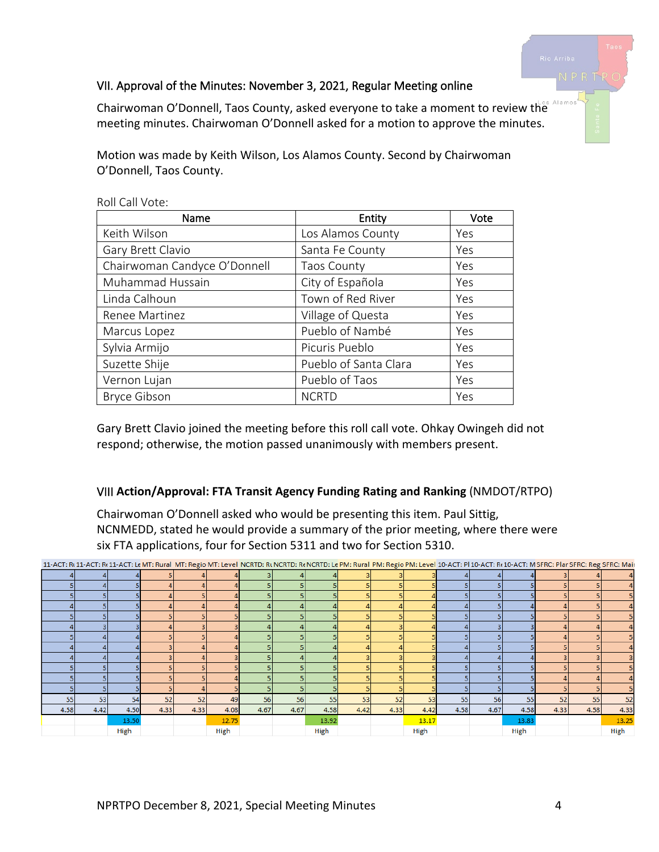# VII. Approval of the Minutes: November 3, 2021, Regular Meeting online

Alamos Chairwoman O'Donnell, Taos County, asked everyone to take a moment to review the meeting minutes. Chairwoman O'Donnell asked for a motion to approve the minutes.

Motion was made by Keith Wilson, Los Alamos County. Second by Chairwoman O'Donnell, Taos County.

| Name                         | Entity                | Vote |
|------------------------------|-----------------------|------|
| Keith Wilson                 | Los Alamos County     | Yes  |
| Gary Brett Clavio            | Santa Fe County       | Yes  |
| Chairwoman Candyce O'Donnell | <b>Taos County</b>    | Yes  |
| Muhammad Hussain             | City of Española      | Yes  |
| Linda Calhoun                | Town of Red River     | Yes  |
| Renee Martinez               | Village of Questa     | Yes  |
| Marcus Lopez                 | Pueblo of Nambé       | Yes  |
| Sylvia Armijo                | Picuris Pueblo        | Yes  |
| Suzette Shije                | Pueblo of Santa Clara | Yes  |
| Vernon Lujan                 | Pueblo of Taos        | Yes  |
| <b>Bryce Gibson</b>          | <b>NCRTD</b>          | Yes  |

Roll Call Vote:

Gary Brett Clavio joined the meeting before this roll call vote. Ohkay Owingeh did not respond; otherwise, the motion passed unanimously with members present.

#### VIII **Action/Approval: FTA Transit Agency Funding Rating and Ranking** (NMDOT/RTPO)

Chairwoman O'Donnell asked who would be presenting this item. Paul Sittig, NCNMEDD, stated he would provide a summary of the prior meeting, where there were six FTA applications, four for Section 5311 and two for Section 5310.

| 11-ACT: Rt 11-ACT: Rt 11-ACT: Le MT: Rural MT: Regio MT: Level NCRTD: Rt NCRTD: Rt NCRTD: Le PM: Rural PM: Regio PM: Level 10-ACT: PI 10-ACT: Rt 10-ACT: MSFRC: Plar SFRC: Plar SFRC: Reg SFRC: Mair |      |       |      |      |       |      |      |       |      |      |       |      |      |       |      |      |       |
|------------------------------------------------------------------------------------------------------------------------------------------------------------------------------------------------------|------|-------|------|------|-------|------|------|-------|------|------|-------|------|------|-------|------|------|-------|
|                                                                                                                                                                                                      |      |       |      |      |       |      |      |       |      |      |       |      |      |       |      |      |       |
|                                                                                                                                                                                                      |      |       |      |      |       |      |      |       |      |      |       |      |      |       |      |      |       |
|                                                                                                                                                                                                      |      |       |      |      |       |      |      |       |      |      |       |      |      |       |      |      |       |
|                                                                                                                                                                                                      |      |       |      |      |       |      |      |       |      |      |       |      |      |       |      |      |       |
|                                                                                                                                                                                                      |      |       |      |      |       |      |      |       |      |      |       |      |      |       |      |      |       |
|                                                                                                                                                                                                      |      |       |      |      |       |      |      |       |      |      |       |      |      |       |      |      |       |
|                                                                                                                                                                                                      |      |       |      |      |       |      |      |       |      |      |       |      |      |       |      |      |       |
|                                                                                                                                                                                                      |      |       |      |      |       |      |      |       |      |      |       |      |      |       |      |      |       |
|                                                                                                                                                                                                      |      |       |      |      |       |      |      |       |      |      |       |      |      |       |      |      |       |
|                                                                                                                                                                                                      |      |       |      |      |       |      |      |       |      |      |       |      |      |       |      |      |       |
|                                                                                                                                                                                                      |      |       |      |      |       |      |      |       |      |      |       |      |      |       |      |      |       |
|                                                                                                                                                                                                      |      |       |      |      |       |      |      |       |      |      |       |      |      |       |      |      |       |
| 55                                                                                                                                                                                                   | 53   | 54    | 52   | 52   | 49    | 56   | 56   | 55    | 53   | 52   | 53    | 55   | 56   | 55    | 52   | 55   | 52    |
| 4.58                                                                                                                                                                                                 | 4.42 | 4.50  | 4.33 | 4.33 | 4.08  | 4.67 | 4.67 | 4.58  | 4.42 | 4.33 | 4.42  | 4.58 | 4.67 | 4.58  | 4.33 | 4.58 | 4.33  |
|                                                                                                                                                                                                      |      | 13.50 |      |      | 12.75 |      |      | 13.92 |      |      | 13.17 |      |      | 13.83 |      |      | 13.25 |
|                                                                                                                                                                                                      |      | High  |      |      | High  |      |      | High  |      |      | High  |      |      | High  |      |      | High  |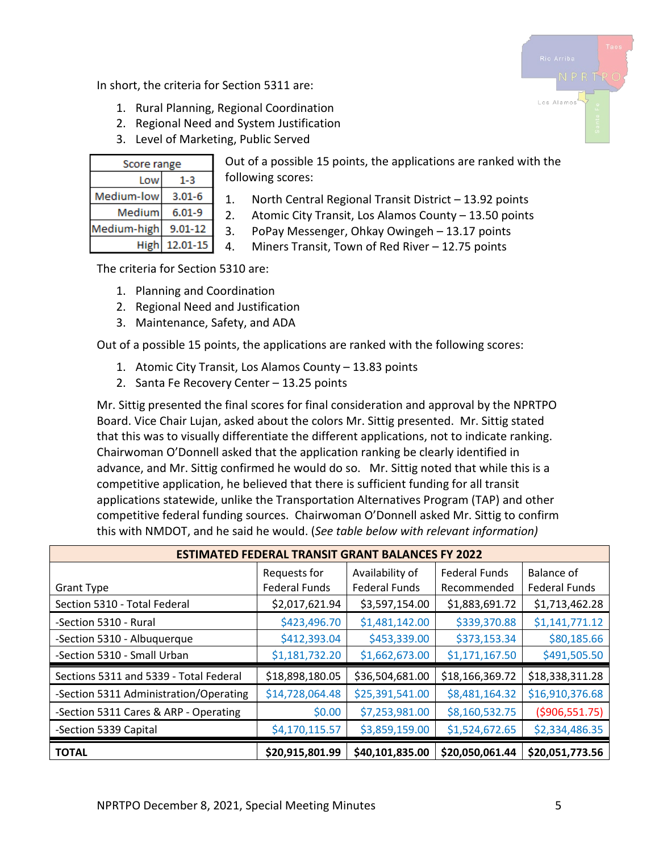In short, the criteria for Section 5311 are:

- 1. Rural Planning, Regional Coordination
- 2. Regional Need and System Justification
- 3. Level of Marketing, Public Served

| Score range |             |  |  |  |  |
|-------------|-------------|--|--|--|--|
| Low         | 1-3         |  |  |  |  |
| Medium-low  | $3.01 - 6$  |  |  |  |  |
| Medium      | $6.01 - 9$  |  |  |  |  |
| Medium-high | $9.01 - 12$ |  |  |  |  |
| High        | 12.01-15    |  |  |  |  |

Out of a possible 15 points, the applications are ranked with the following scores:

- 1. North Central Regional Transit District 13.92 points
- 2. Atomic City Transit, Los Alamos County 13.50 points
- 3. PoPay Messenger, Ohkay Owingeh 13.17 points
- 4. Miners Transit, Town of Red River 12.75 points

The criteria for Section 5310 are:

- 1. Planning and Coordination
- 2. Regional Need and Justification
- 3. Maintenance, Safety, and ADA

Out of a possible 15 points, the applications are ranked with the following scores:

- 1. Atomic City Transit, Los Alamos County 13.83 points
- 2. Santa Fe Recovery Center 13.25 points

Mr. Sittig presented the final scores for final consideration and approval by the NPRTPO Board. Vice Chair Lujan, asked about the colors Mr. Sittig presented. Mr. Sittig stated that this was to visually differentiate the different applications, not to indicate ranking. Chairwoman O'Donnell asked that the application ranking be clearly identified in advance, and Mr. Sittig confirmed he would do so. Mr. Sittig noted that while this is a competitive application, he believed that there is sufficient funding for all transit applications statewide, unlike the Transportation Alternatives Program (TAP) and other competitive federal funding sources. Chairwoman O'Donnell asked Mr. Sittig to confirm this with NMDOT, and he said he would. (*See table below with relevant information)*

| <b>ESTIMATED FEDERAL TRANSIT GRANT BALANCES FY 2022</b> |                      |                      |                      |                      |  |  |  |  |
|---------------------------------------------------------|----------------------|----------------------|----------------------|----------------------|--|--|--|--|
|                                                         | Requests for         | Availability of      | <b>Federal Funds</b> | Balance of           |  |  |  |  |
| <b>Grant Type</b>                                       | <b>Federal Funds</b> | <b>Federal Funds</b> | Recommended          | <b>Federal Funds</b> |  |  |  |  |
| Section 5310 - Total Federal                            | \$2,017,621.94       | \$3,597,154.00       | \$1,883,691.72       | \$1,713,462.28       |  |  |  |  |
| -Section 5310 - Rural                                   | \$423,496.70         | \$1,481,142.00       | \$339,370.88         | \$1,141,771.12       |  |  |  |  |
| -Section 5310 - Albuquerque                             | \$412,393.04         | \$453,339.00         | \$373,153.34         | \$80,185.66          |  |  |  |  |
| -Section 5310 - Small Urban                             | \$1,181,732.20       | \$1,662,673.00       | \$1,171,167.50       | \$491,505.50         |  |  |  |  |
| Sections 5311 and 5339 - Total Federal                  | \$18,898,180.05      | \$36,504,681.00      | \$18,166,369.72      | \$18,338,311.28      |  |  |  |  |
| -Section 5311 Administration/Operating                  | \$14,728,064.48      | \$25,391,541.00      | \$8,481,164.32       | \$16,910,376.68      |  |  |  |  |
| -Section 5311 Cares & ARP - Operating                   | \$0.00               | \$7,253,981.00       | \$8,160,532.75       | ( \$906, 551.75)     |  |  |  |  |
| -Section 5339 Capital                                   | \$4,170,115.57       | \$3,859,159.00       | \$1,524,672.65       | \$2,334,486.35       |  |  |  |  |
| <b>TOTAL</b>                                            | \$20,915,801.99      | \$40,101,835.00      | \$20,050,061.44      | \$20,051,773.56      |  |  |  |  |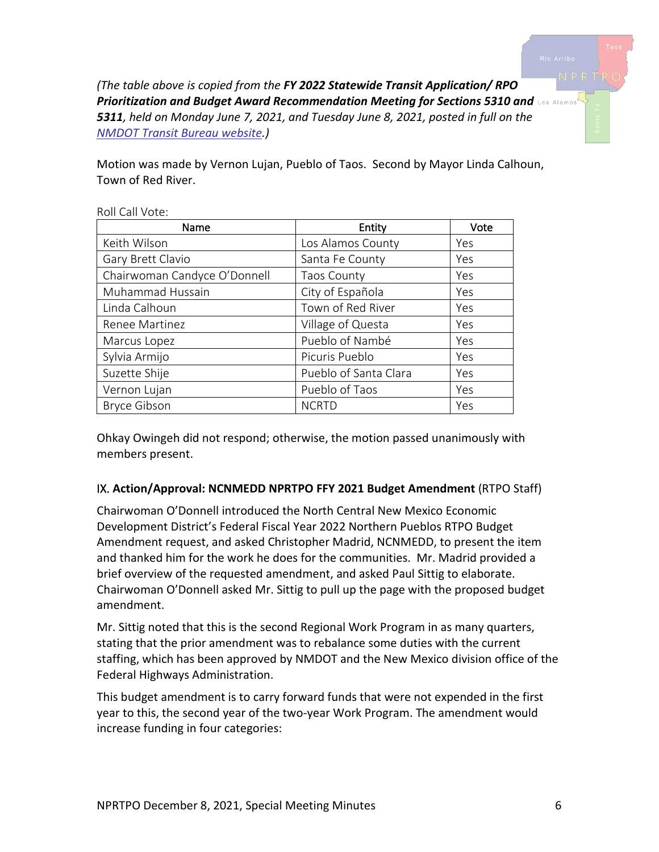*(The table above is copied from the FY 2022 Statewide Transit Application/ RPO Prioritization and Budget Award Recommendation Meeting for Sections 5310 and 5311, held on Monday June 7, 2021, and Tuesday June 8, 2021, posted in full on the [NMDOT Transit Bureau website.](https://www.dot.nm.gov/planning-research-multimodal-and-safety/modal/transit-rail/transit-bureau/))*

Motion was made by Vernon Lujan, Pueblo of Taos. Second by Mayor Linda Calhoun, Town of Red River.

| Name                         | Entity                | Vote |
|------------------------------|-----------------------|------|
| Keith Wilson                 | Los Alamos County     | Yes  |
| Gary Brett Clavio            | Santa Fe County       | Yes  |
| Chairwoman Candyce O'Donnell | <b>Taos County</b>    | Yes  |
| Muhammad Hussain             | City of Española      | Yes  |
| Linda Calhoun                | Town of Red River     | Yes  |
| Renee Martinez               | Village of Questa     | Yes  |
| Marcus Lopez                 | Pueblo of Nambé       | Yes  |
| Sylvia Armijo                | Picuris Pueblo        | Yes  |
| Suzette Shije                | Pueblo of Santa Clara | Yes  |
| Vernon Lujan                 | Pueblo of Taos        | Yes  |
| <b>Bryce Gibson</b>          | <b>NCRTD</b>          | Yes  |

Roll Call Vote:

Ohkay Owingeh did not respond; otherwise, the motion passed unanimously with members present.

# IX. **Action/Approval: NCNMEDD NPRTPO FFY 2021 Budget Amendment** (RTPO Staff)

Chairwoman O'Donnell introduced the North Central New Mexico Economic Development District's Federal Fiscal Year 2022 Northern Pueblos RTPO Budget Amendment request, and asked Christopher Madrid, NCNMEDD, to present the item and thanked him for the work he does for the communities. Mr. Madrid provided a brief overview of the requested amendment, and asked Paul Sittig to elaborate. Chairwoman O'Donnell asked Mr. Sittig to pull up the page with the proposed budget amendment.

Mr. Sittig noted that this is the second Regional Work Program in as many quarters, stating that the prior amendment was to rebalance some duties with the current staffing, which has been approved by NMDOT and the New Mexico division office of the Federal Highways Administration.

This budget amendment is to carry forward funds that were not expended in the first year to this, the second year of the two-year Work Program. The amendment would increase funding in four categories: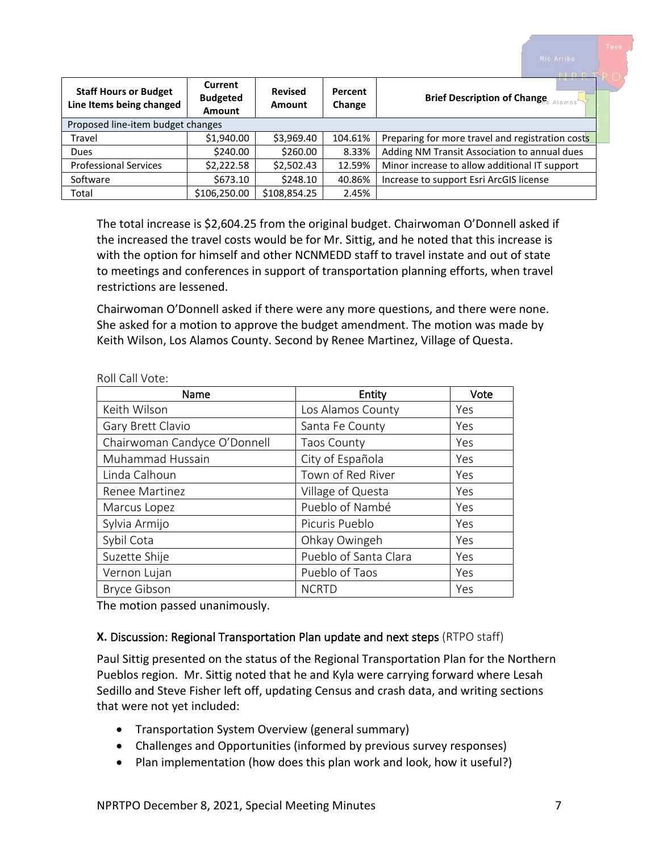| <b>Staff Hours or Budget</b><br>Line Items being changed | Current<br><b>Budgeted</b><br>Amount | <b>Revised</b><br>Amount | <b>Percent</b><br>Change | <b>Brief Description of Change</b><br>lamos      |
|----------------------------------------------------------|--------------------------------------|--------------------------|--------------------------|--------------------------------------------------|
| Proposed line-item budget changes                        |                                      |                          |                          |                                                  |
| Travel                                                   | \$1,940.00                           | \$3,969.40               | 104.61%                  | Preparing for more travel and registration costs |
| Dues                                                     | \$240.00                             | \$260.00                 | 8.33%                    | Adding NM Transit Association to annual dues     |
| <b>Professional Services</b>                             | \$2,222.58                           | \$2,502.43               | 12.59%                   | Minor increase to allow additional IT support    |
| Software                                                 | \$673.10                             | \$248.10                 | 40.86%                   | Increase to support Esri ArcGIS license          |
| Total                                                    | \$106,250.00                         | \$108,854.25             | 2.45%                    |                                                  |

The total increase is \$2,604.25 from the original budget. Chairwoman O'Donnell asked if the increased the travel costs would be for Mr. Sittig, and he noted that this increase is with the option for himself and other NCNMEDD staff to travel instate and out of state to meetings and conferences in support of transportation planning efforts, when travel restrictions are lessened.

Chairwoman O'Donnell asked if there were any more questions, and there were none. She asked for a motion to approve the budget amendment. The motion was made by Keith Wilson, Los Alamos County. Second by Renee Martinez, Village of Questa.

| Name                         | Entity                | Vote |
|------------------------------|-----------------------|------|
| Keith Wilson                 | Los Alamos County     | Yes  |
| Gary Brett Clavio            | Santa Fe County       | Yes  |
| Chairwoman Candyce O'Donnell | <b>Taos County</b>    | Yes  |
| Muhammad Hussain             | City of Española      | Yes  |
| Linda Calhoun                | Town of Red River     | Yes  |
| Renee Martinez               | Village of Questa     | Yes  |
| Marcus Lopez                 | Pueblo of Nambé       | Yes  |
| Sylvia Armijo                | Picuris Pueblo        | Yes  |
| Sybil Cota                   | Ohkay Owingeh         | Yes  |
| Suzette Shije                | Pueblo of Santa Clara | Yes  |
| Vernon Lujan                 | Pueblo of Taos        | Yes  |
| <b>Bryce Gibson</b>          | <b>NCRTD</b>          | Yes  |

Roll Call Vote:

The motion passed unanimously.

#### **X.** Discussion: Regional Transportation Plan update and next steps (RTPO staff)

Paul Sittig presented on the status of the Regional Transportation Plan for the Northern Pueblos region. Mr. Sittig noted that he and Kyla were carrying forward where Lesah Sedillo and Steve Fisher left off, updating Census and crash data, and writing sections that were not yet included:

- Transportation System Overview (general summary)
- Challenges and Opportunities (informed by previous survey responses)
- Plan implementation (how does this plan work and look, how it useful?)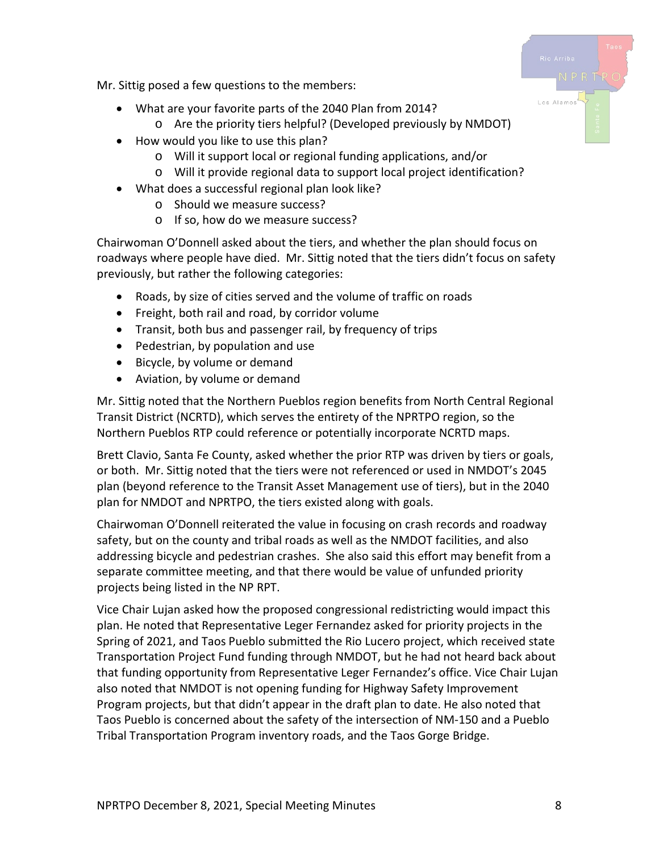Los Alamo

Mr. Sittig posed a few questions to the members:

- What are your favorite parts of the 2040 Plan from 2014?
	- o Are the priority tiers helpful? (Developed previously by NMDOT)
- How would you like to use this plan?
	- o Will it support local or regional funding applications, and/or
	- o Will it provide regional data to support local project identification?
- What does a successful regional plan look like?
	- o Should we measure success?
	- o If so, how do we measure success?

Chairwoman O'Donnell asked about the tiers, and whether the plan should focus on roadways where people have died. Mr. Sittig noted that the tiers didn't focus on safety previously, but rather the following categories:

- Roads, by size of cities served and the volume of traffic on roads
- Freight, both rail and road, by corridor volume
- Transit, both bus and passenger rail, by frequency of trips
- Pedestrian, by population and use
- Bicycle, by volume or demand
- Aviation, by volume or demand

Mr. Sittig noted that the Northern Pueblos region benefits from North Central Regional Transit District (NCRTD), which serves the entirety of the NPRTPO region, so the Northern Pueblos RTP could reference or potentially incorporate NCRTD maps.

Brett Clavio, Santa Fe County, asked whether the prior RTP was driven by tiers or goals, or both. Mr. Sittig noted that the tiers were not referenced or used in NMDOT's 2045 plan (beyond reference to the Transit Asset Management use of tiers), but in the 2040 plan for NMDOT and NPRTPO, the tiers existed along with goals.

Chairwoman O'Donnell reiterated the value in focusing on crash records and roadway safety, but on the county and tribal roads as well as the NMDOT facilities, and also addressing bicycle and pedestrian crashes. She also said this effort may benefit from a separate committee meeting, and that there would be value of unfunded priority projects being listed in the NP RPT.

Vice Chair Lujan asked how the proposed congressional redistricting would impact this plan. He noted that Representative Leger Fernandez asked for priority projects in the Spring of 2021, and Taos Pueblo submitted the Rio Lucero project, which received state Transportation Project Fund funding through NMDOT, but he had not heard back about that funding opportunity from Representative Leger Fernandez's office. Vice Chair Lujan also noted that NMDOT is not opening funding for Highway Safety Improvement Program projects, but that didn't appear in the draft plan to date. He also noted that Taos Pueblo is concerned about the safety of the intersection of NM-150 and a Pueblo Tribal Transportation Program inventory roads, and the Taos Gorge Bridge.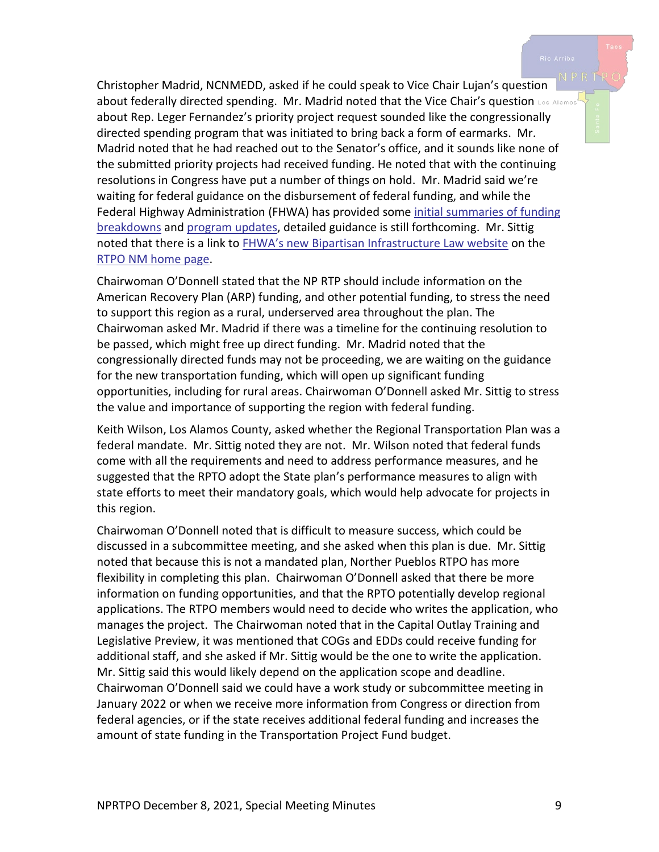Christopher Madrid, NCNMEDD, asked if he could speak to Vice Chair Lujan's question about federally directed spending. Mr. Madrid noted that the Vice Chair's question Los Alamos about Rep. Leger Fernandez's priority project request sounded like the congressionally directed spending program that was initiated to bring back a form of earmarks. Mr. Madrid noted that he had reached out to the Senator's office, and it sounds like none of the submitted priority projects had received funding. He noted that with the continuing resolutions in Congress have put a number of things on hold. Mr. Madrid said we're waiting for federal guidance on the disbursement of federal funding, and while the Federal Highway Administration (FHWA) has provided some [initial summaries of funding](https://www.transportation.gov/briefing-room/bipartisan-infrastructure-law-will-deliver-new-mexico)  [breakdowns](https://www.transportation.gov/briefing-room/bipartisan-infrastructure-law-will-deliver-new-mexico) an[d program updates,](https://www.fhwa.dot.gov/bipartisan-infrastructure-law/summary.cfm) detailed guidance is still forthcoming. Mr. Sittig noted that there is a link to **FHWA's new Bipartisan Infrastructure Law website on the** [RTPO NM home page.](https://www.rtponm.org/)

Chairwoman O'Donnell stated that the NP RTP should include information on the American Recovery Plan (ARP) funding, and other potential funding, to stress the need to support this region as a rural, underserved area throughout the plan. The Chairwoman asked Mr. Madrid if there was a timeline for the continuing resolution to be passed, which might free up direct funding. Mr. Madrid noted that the congressionally directed funds may not be proceeding, we are waiting on the guidance for the new transportation funding, which will open up significant funding opportunities, including for rural areas. Chairwoman O'Donnell asked Mr. Sittig to stress the value and importance of supporting the region with federal funding.

Keith Wilson, Los Alamos County, asked whether the Regional Transportation Plan was a federal mandate. Mr. Sittig noted they are not. Mr. Wilson noted that federal funds come with all the requirements and need to address performance measures, and he suggested that the RPTO adopt the State plan's performance measures to align with state efforts to meet their mandatory goals, which would help advocate for projects in this region.

Chairwoman O'Donnell noted that is difficult to measure success, which could be discussed in a subcommittee meeting, and she asked when this plan is due. Mr. Sittig noted that because this is not a mandated plan, Norther Pueblos RTPO has more flexibility in completing this plan. Chairwoman O'Donnell asked that there be more information on funding opportunities, and that the RPTO potentially develop regional applications. The RTPO members would need to decide who writes the application, who manages the project. The Chairwoman noted that in the Capital Outlay Training and Legislative Preview, it was mentioned that COGs and EDDs could receive funding for additional staff, and she asked if Mr. Sittig would be the one to write the application. Mr. Sittig said this would likely depend on the application scope and deadline. Chairwoman O'Donnell said we could have a work study or subcommittee meeting in January 2022 or when we receive more information from Congress or direction from federal agencies, or if the state receives additional federal funding and increases the amount of state funding in the Transportation Project Fund budget.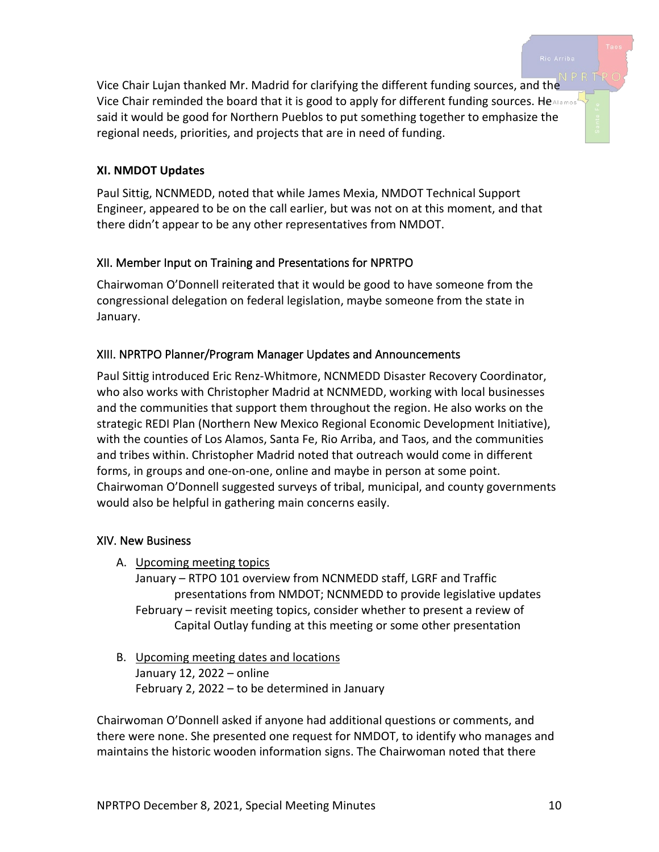Vice Chair Lujan thanked Mr. Madrid for clarifying the different funding sources, and the Vice Chair reminded the board that it is good to apply for different funding sources. HeAlamos said it would be good for Northern Pueblos to put something together to emphasize the regional needs, priorities, and projects that are in need of funding.

### **XI. NMDOT Updates**

Paul Sittig, NCNMEDD, noted that while James Mexia, NMDOT Technical Support Engineer, appeared to be on the call earlier, but was not on at this moment, and that there didn't appear to be any other representatives from NMDOT.

# XII. Member Input on Training and Presentations for NPRTPO

Chairwoman O'Donnell reiterated that it would be good to have someone from the congressional delegation on federal legislation, maybe someone from the state in January.

# XIII. NPRTPO Planner/Program Manager Updates and Announcements

Paul Sittig introduced Eric Renz-Whitmore, NCNMEDD Disaster Recovery Coordinator, who also works with Christopher Madrid at NCNMEDD, working with local businesses and the communities that support them throughout the region. He also works on the strategic REDI Plan (Northern New Mexico Regional Economic Development Initiative), with the counties of Los Alamos, Santa Fe, Rio Arriba, and Taos, and the communities and tribes within. Christopher Madrid noted that outreach would come in different forms, in groups and one-on-one, online and maybe in person at some point. Chairwoman O'Donnell suggested surveys of tribal, municipal, and county governments would also be helpful in gathering main concerns easily.

#### XIV. New Business

A. Upcoming meeting topics

January – RTPO 101 overview from NCNMEDD staff, LGRF and Traffic presentations from NMDOT; NCNMEDD to provide legislative updates February – revisit meeting topics, consider whether to present a review of Capital Outlay funding at this meeting or some other presentation

B. Upcoming meeting dates and locations January 12, 2022 – online February 2, 2022 – to be determined in January

Chairwoman O'Donnell asked if anyone had additional questions or comments, and there were none. She presented one request for NMDOT, to identify who manages and maintains the historic wooden information signs. The Chairwoman noted that there